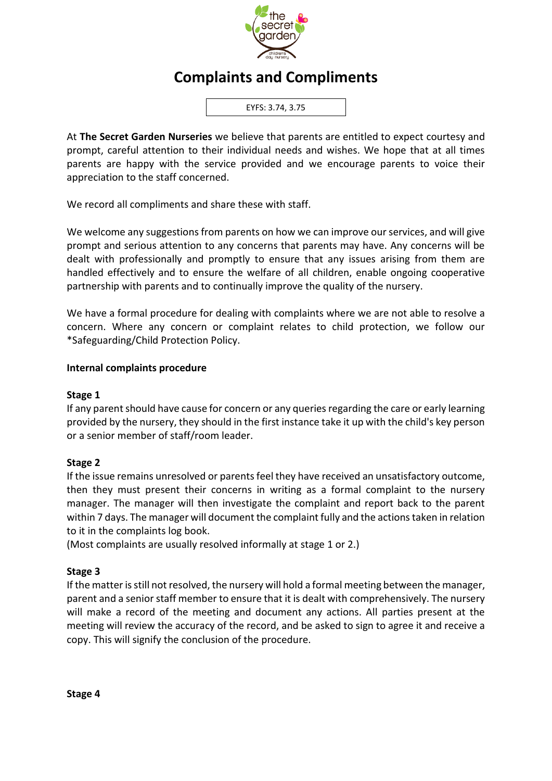

# **Complaints and Compliments**

EYFS: 3.74, 3.75

At **The Secret Garden Nurseries** we believe that parents are entitled to expect courtesy and prompt, careful attention to their individual needs and wishes. We hope that at all times parents are happy with the service provided and we encourage parents to voice their appreciation to the staff concerned.

We record all compliments and share these with staff.

We welcome any suggestions from parents on how we can improve our services, and will give prompt and serious attention to any concerns that parents may have. Any concerns will be dealt with professionally and promptly to ensure that any issues arising from them are handled effectively and to ensure the welfare of all children, enable ongoing cooperative partnership with parents and to continually improve the quality of the nursery.

We have a formal procedure for dealing with complaints where we are not able to resolve a concern. Where any concern or complaint relates to child protection, we follow our \*Safeguarding/Child Protection Policy.

#### **Internal complaints procedure**

#### **Stage 1**

If any parent should have cause for concern or any queries regarding the care or early learning provided by the nursery, they should in the first instance take it up with the child's key person or a senior member of staff/room leader.

## **Stage 2**

If the issue remains unresolved or parents feel they have received an unsatisfactory outcome, then they must present their concerns in writing as a formal complaint to the nursery manager. The manager will then investigate the complaint and report back to the parent within 7 days. The manager will document the complaint fully and the actions taken in relation to it in the complaints log book.

(Most complaints are usually resolved informally at stage 1 or 2.)

## **Stage 3**

If the matter is still not resolved, the nursery will hold a formal meeting between the manager, parent and a senior staff member to ensure that it is dealt with comprehensively. The nursery will make a record of the meeting and document any actions. All parties present at the meeting will review the accuracy of the record, and be asked to sign to agree it and receive a copy. This will signify the conclusion of the procedure.